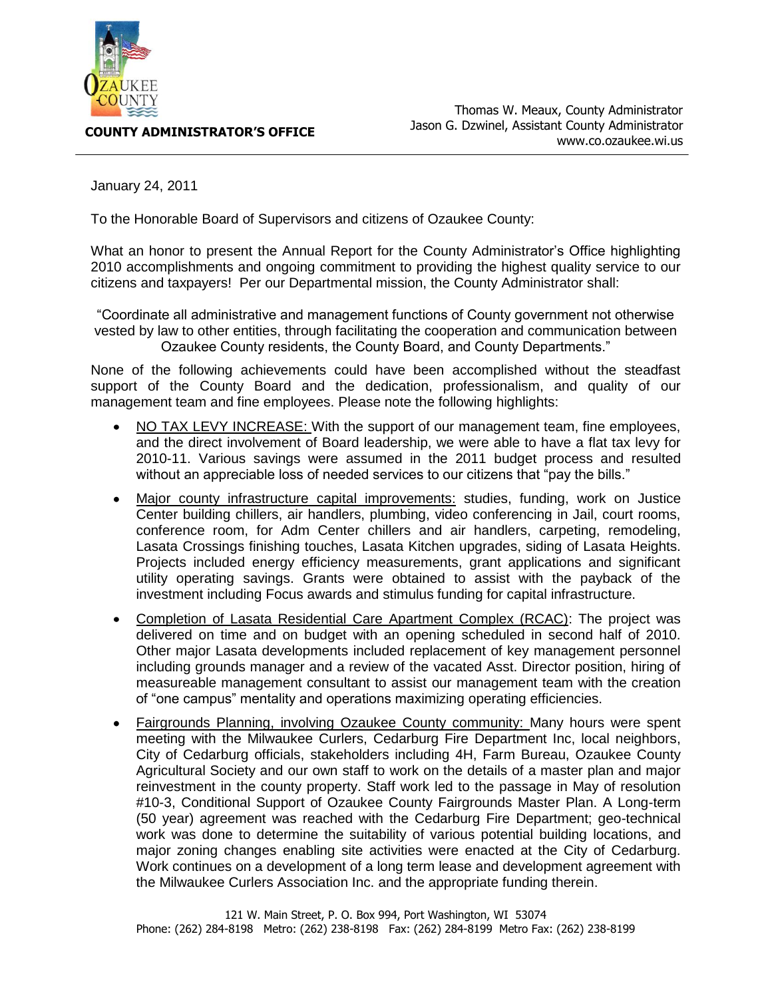

**COUNTY ADMINISTRATOR'S OFFICE**

January 24, 2011

To the Honorable Board of Supervisors and citizens of Ozaukee County:

What an honor to present the Annual Report for the County Administrator's Office highlighting 2010 accomplishments and ongoing commitment to providing the highest quality service to our citizens and taxpayers! Per our Departmental mission, the County Administrator shall:

"Coordinate all administrative and management functions of County government not otherwise vested by law to other entities, through facilitating the cooperation and communication between Ozaukee County residents, the County Board, and County Departments."

None of the following achievements could have been accomplished without the steadfast support of the County Board and the dedication, professionalism, and quality of our management team and fine employees. Please note the following highlights:

- NO TAX LEVY INCREASE: With the support of our management team, fine employees, and the direct involvement of Board leadership, we were able to have a flat tax levy for 2010-11. Various savings were assumed in the 2011 budget process and resulted without an appreciable loss of needed services to our citizens that "pay the bills."
- Major county infrastructure capital improvements: studies, funding, work on Justice  $\bullet$ Center building chillers, air handlers, plumbing, video conferencing in Jail, court rooms, conference room, for Adm Center chillers and air handlers, carpeting, remodeling, Lasata Crossings finishing touches, Lasata Kitchen upgrades, siding of Lasata Heights. Projects included energy efficiency measurements, grant applications and significant utility operating savings. Grants were obtained to assist with the payback of the investment including Focus awards and stimulus funding for capital infrastructure.
- Completion of Lasata Residential Care Apartment Complex (RCAC): The project was delivered on time and on budget with an opening scheduled in second half of 2010. Other major Lasata developments included replacement of key management personnel including grounds manager and a review of the vacated Asst. Director position, hiring of measureable management consultant to assist our management team with the creation of "one campus" mentality and operations maximizing operating efficiencies.
- Fairgrounds Planning, involving Ozaukee County community: Many hours were spent  $\bullet$ meeting with the Milwaukee Curlers, Cedarburg Fire Department Inc, local neighbors, City of Cedarburg officials, stakeholders including 4H, Farm Bureau, Ozaukee County Agricultural Society and our own staff to work on the details of a master plan and major reinvestment in the county property. Staff work led to the passage in May of resolution #10-3, Conditional Support of Ozaukee County Fairgrounds Master Plan. A Long-term (50 year) agreement was reached with the Cedarburg Fire Department; geo-technical work was done to determine the suitability of various potential building locations, and major zoning changes enabling site activities were enacted at the City of Cedarburg. Work continues on a development of a long term lease and development agreement with the Milwaukee Curlers Association Inc. and the appropriate funding therein.